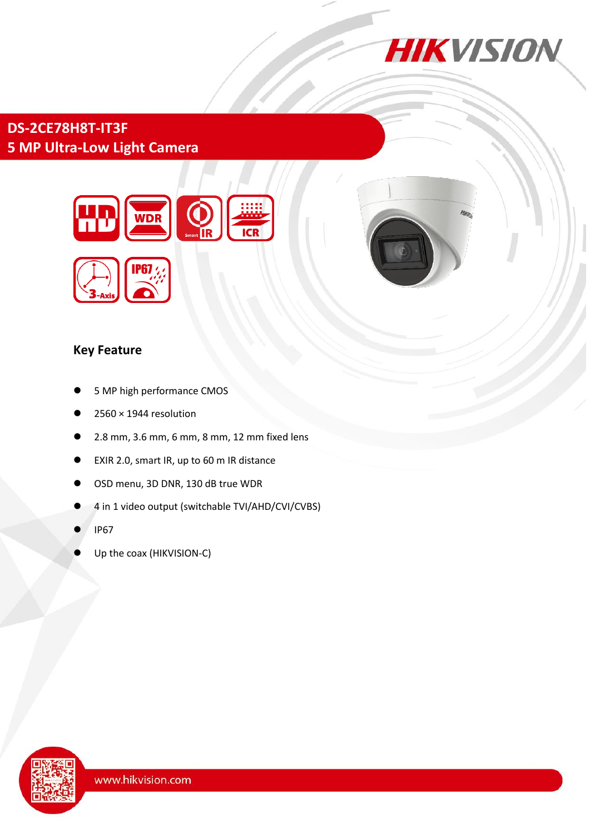

# **DS-2CE78H8T-IT3F 5 MP Ultra-Low Light Camera**



#### **Key Feature**

- 5 MP high performance CMOS
- 2560 × 1944 resolution
- 2.8 mm, 3.6 mm, 6 mm, 8 mm, 12 mm fixed lens
- EXIR 2.0, smart IR, up to 60 m IR distance
- OSD menu, 3D DNR, 130 dB true WDR
- 4 in 1 video output (switchable TVI/AHD/CVI/CVBS)
- IP67
- Up the coax (HIKVISION-C)

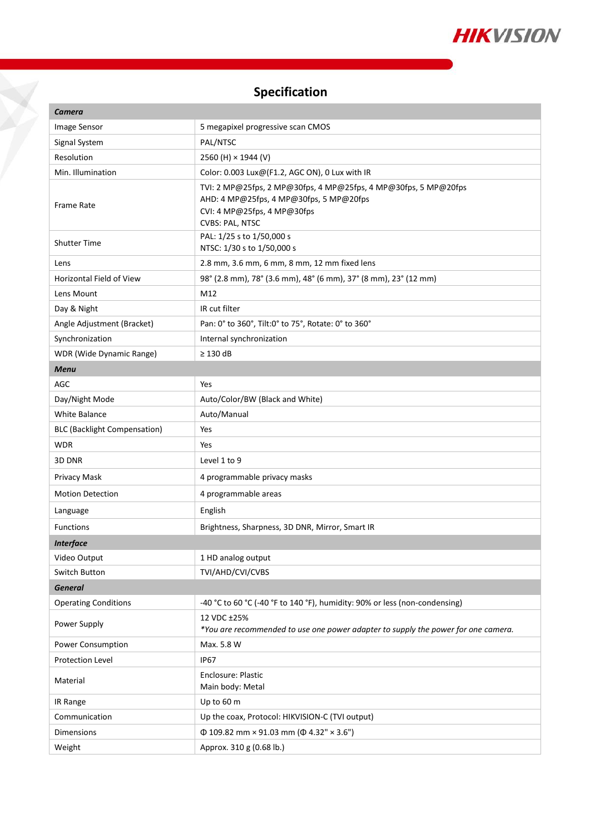

# **Specification**

X

| <b>Camera</b>                       |                                                                                                                                                              |
|-------------------------------------|--------------------------------------------------------------------------------------------------------------------------------------------------------------|
| Image Sensor                        | 5 megapixel progressive scan CMOS                                                                                                                            |
| Signal System                       | PAL/NTSC                                                                                                                                                     |
| Resolution                          | 2560 (H) $\times$ 1944 (V)                                                                                                                                   |
| Min. Illumination                   | Color: 0.003 Lux@(F1.2, AGC ON), 0 Lux with IR                                                                                                               |
| <b>Frame Rate</b>                   | TVI: 2 MP@25fps, 2 MP@30fps, 4 MP@25fps, 4 MP@30fps, 5 MP@20fps<br>AHD: 4 MP@25fps, 4 MP@30fps, 5 MP@20fps<br>CVI: 4 MP@25fps, 4 MP@30fps<br>CVBS: PAL, NTSC |
| <b>Shutter Time</b>                 | PAL: 1/25 s to 1/50,000 s<br>NTSC: 1/30 s to 1/50,000 s                                                                                                      |
| Lens                                | 2.8 mm, 3.6 mm, 6 mm, 8 mm, 12 mm fixed lens                                                                                                                 |
| <b>Horizontal Field of View</b>     | 98° (2.8 mm), 78° (3.6 mm), 48° (6 mm), 37° (8 mm), 23° (12 mm)                                                                                              |
| Lens Mount                          | M12                                                                                                                                                          |
| Day & Night                         | IR cut filter                                                                                                                                                |
| Angle Adjustment (Bracket)          | Pan: 0° to 360°, Tilt:0° to 75°, Rotate: 0° to 360°                                                                                                          |
| Synchronization                     | Internal synchronization                                                                                                                                     |
| <b>WDR</b> (Wide Dynamic Range)     | $\geq$ 130 dB                                                                                                                                                |
| <b>Menu</b>                         |                                                                                                                                                              |
| AGC                                 | Yes                                                                                                                                                          |
| Day/Night Mode                      | Auto/Color/BW (Black and White)                                                                                                                              |
| <b>White Balance</b>                | Auto/Manual                                                                                                                                                  |
| <b>BLC (Backlight Compensation)</b> | Yes                                                                                                                                                          |
| <b>WDR</b>                          | Yes                                                                                                                                                          |
| 3D DNR                              | Level 1 to 9                                                                                                                                                 |
| Privacy Mask                        | 4 programmable privacy masks                                                                                                                                 |
| <b>Motion Detection</b>             | 4 programmable areas                                                                                                                                         |
| Language                            | English                                                                                                                                                      |
| <b>Functions</b>                    | Brightness, Sharpness, 3D DNR, Mirror, Smart IR                                                                                                              |
| <b>Interface</b>                    |                                                                                                                                                              |
| Video Output                        | 1 HD analog output                                                                                                                                           |
| Switch Button                       | TVI/AHD/CVI/CVBS                                                                                                                                             |
| <b>General</b>                      |                                                                                                                                                              |
| <b>Operating Conditions</b>         | -40 °C to 60 °C (-40 °F to 140 °F), humidity: 90% or less (non-condensing)                                                                                   |
| Power Supply                        | 12 VDC ±25%<br>*You are recommended to use one power adapter to supply the power for one camera.                                                             |
| Power Consumption                   | Max. 5.8 W                                                                                                                                                   |
| Protection Level                    | <b>IP67</b>                                                                                                                                                  |
| Material                            | Enclosure: Plastic<br>Main body: Metal                                                                                                                       |
| IR Range                            | Up to 60 m                                                                                                                                                   |
| Communication                       | Up the coax, Protocol: HIKVISION-C (TVI output)                                                                                                              |
| Dimensions                          | $\Phi$ 109.82 mm × 91.03 mm ( $\Phi$ 4.32" × 3.6")                                                                                                           |
| Weight                              | Approx. 310 g (0.68 lb.)                                                                                                                                     |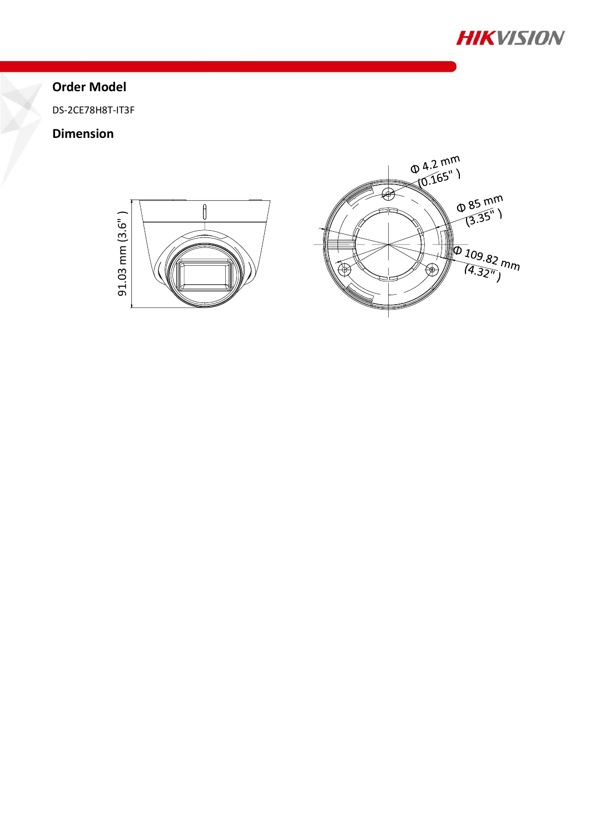

## **Order Model**

DS-2CE78H8T-IT3F

### **Dimension**